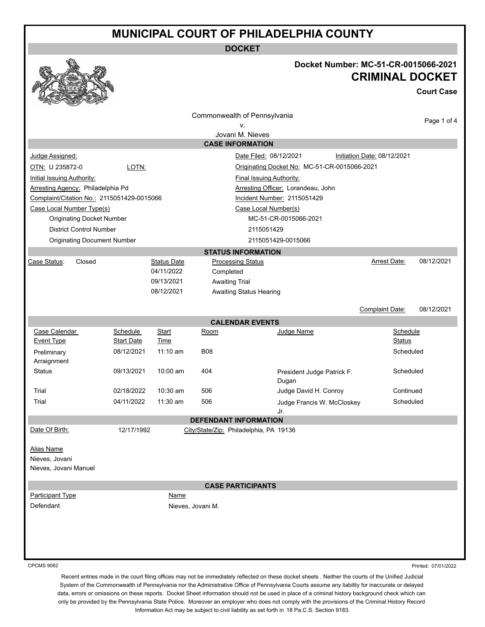**DOCKET**



#### **Docket Number: MC-51-CR-0015066-2021 CRIMINAL DOCKET**

**Court Case**

|                                            |                               |                    |                              | Commonwealth of Pennsylvania                 |                             |                    |
|--------------------------------------------|-------------------------------|--------------------|------------------------------|----------------------------------------------|-----------------------------|--------------------|
|                                            |                               |                    |                              | ٧.                                           |                             | Page 1 of 4        |
|                                            |                               |                    |                              | Jovani M. Nieves                             |                             |                    |
|                                            |                               |                    | <b>CASE INFORMATION</b>      |                                              |                             |                    |
| Judge Assigned:                            |                               |                    |                              | Date Filed: 08/12/2021                       | Initiation Date: 08/12/2021 |                    |
| OTN: U 235872-0                            | LOTN:                         |                    |                              | Originating Docket No: MC-51-CR-0015066-2021 |                             |                    |
| <b>Initial Issuing Authority:</b>          |                               |                    |                              | <b>Final Issuing Authority:</b>              |                             |                    |
| Arresting Agency: Philadelphia Pd          |                               |                    |                              | Arresting Officer: Lorandeau, John           |                             |                    |
| Complaint/Citation No.: 2115051429-0015066 |                               |                    |                              | Incident Number: 2115051429                  |                             |                    |
| Case Local Number Type(s)                  |                               |                    |                              | Case Local Number(s)                         |                             |                    |
| <b>Originating Docket Number</b>           |                               |                    |                              | MC-51-CR-0015066-2021                        |                             |                    |
| <b>District Control Number</b>             |                               |                    |                              | 2115051429                                   |                             |                    |
| <b>Originating Document Number</b>         |                               |                    |                              | 2115051429-0015066                           |                             |                    |
|                                            |                               |                    |                              | <b>STATUS INFORMATION</b>                    |                             |                    |
| Case Status:<br>Closed                     |                               | <b>Status Date</b> | <b>Processing Status</b>     |                                              | Arrest Date:                | 08/12/2021         |
|                                            |                               | 04/11/2022         | Completed                    |                                              |                             |                    |
|                                            |                               | 09/13/2021         | <b>Awaiting Trial</b>        |                                              |                             |                    |
|                                            |                               | 08/12/2021         |                              | <b>Awaiting Status Hearing</b>               |                             |                    |
|                                            |                               |                    |                              |                                              |                             | 08/12/2021         |
|                                            |                               |                    |                              |                                              | <b>Complaint Date:</b>      |                    |
|                                            |                               |                    |                              | <b>CALENDAR EVENTS</b>                       |                             |                    |
| Case Calendar<br><b>Event Type</b>         | Schedule<br><b>Start Date</b> | Start<br>Time      | Room                         | Judge Name                                   |                             | Schedule<br>Status |
|                                            | 08/12/2021                    | $11:10$ am         | <b>B08</b>                   |                                              |                             | Scheduled          |
| Preliminary<br>Arraignment                 |                               |                    |                              |                                              |                             |                    |
| <b>Status</b>                              | 09/13/2021                    | $10:00$ am         | 404                          | President Judge Patrick F.                   |                             | Scheduled          |
|                                            |                               |                    |                              | Dugan                                        |                             |                    |
| Trial                                      | 02/18/2022                    | $10:30$ am         | 506                          | Judge David H. Conroy                        |                             | Continued          |
| Trial                                      | 04/11/2022                    | $11:30$ am         | 506                          | Judge Francis W. McCloskey                   |                             | Scheduled          |
|                                            |                               |                    |                              | Jr.                                          |                             |                    |
|                                            |                               |                    | <b>DEFENDANT INFORMATION</b> |                                              |                             |                    |
| Date Of Birth:                             | 12/17/1992                    |                    |                              | City/State/Zip: Philadelphia, PA 19136       |                             |                    |
|                                            |                               |                    |                              |                                              |                             |                    |
| Alias Name                                 |                               |                    |                              |                                              |                             |                    |
| Nieves, Jovani                             |                               |                    |                              |                                              |                             |                    |
| Nieves, Jovani Manuel                      |                               |                    |                              |                                              |                             |                    |
|                                            |                               |                    | <b>CASE PARTICIPANTS</b>     |                                              |                             |                    |
| <b>Participant Type</b>                    |                               | <b>Name</b>        |                              |                                              |                             |                    |
| Defendant                                  |                               |                    | Nieves, Jovani M.            |                                              |                             |                    |
|                                            |                               |                    |                              |                                              |                             |                    |
|                                            |                               |                    |                              |                                              |                             |                    |
|                                            |                               |                    |                              |                                              |                             |                    |
|                                            |                               |                    |                              |                                              |                             |                    |
|                                            |                               |                    |                              |                                              |                             |                    |
| 0001100000                                 |                               |                    |                              |                                              |                             |                    |

CPCMS 9082

Printed: 07/01/2022

Recent entries made in the court filing offices may not be immediately reflected on these docket sheets . Neither the courts of the Unified Judicial System of the Commonwealth of Pennsylvania nor the Administrative Office of Pennsylvania Courts assume any liability for inaccurate or delayed data, errors or omissions on these reports. Docket Sheet information should not be used in place of a criminal history background check which can only be provided by the Pennsylvania State Police. Moreover an employer who does not comply with the provisions of the Criminal History Record Information Act may be subject to civil liability as set forth in 18 Pa.C.S. Section 9183.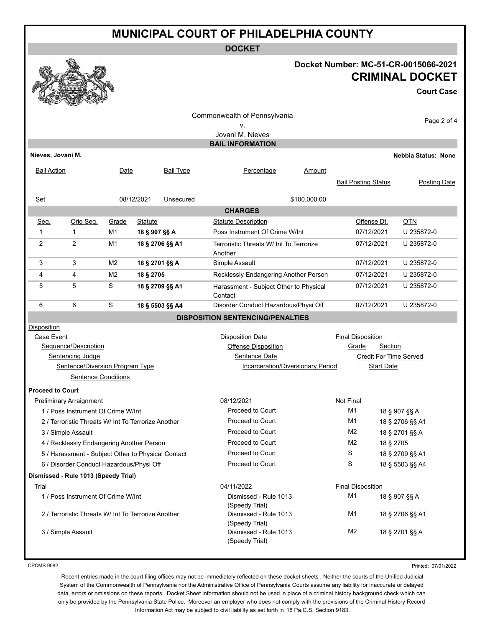**DOCKET**

#### **Docket Number: MC-51-CR-0015066-2021 CRIMINAL DOCKET**

**Court Case**

|                                                                                                                                        |                         |                  |                                                                                                                    |                      | Commonwealth of Pennsylvania<br>ν.<br>Jovani M. Nieves                                      |                 |                            |  | Page 2 of 4                |
|----------------------------------------------------------------------------------------------------------------------------------------|-------------------------|------------------|--------------------------------------------------------------------------------------------------------------------|----------------------|---------------------------------------------------------------------------------------------|-----------------|----------------------------|--|----------------------------|
| <b>BAIL INFORMATION</b>                                                                                                                |                         |                  |                                                                                                                    |                      |                                                                                             |                 |                            |  |                            |
| Nieves, Jovani M.                                                                                                                      |                         |                  |                                                                                                                    |                      |                                                                                             |                 |                            |  | <b>Nebbia Status: None</b> |
| Bail Action                                                                                                                            |                         | Date             |                                                                                                                    | Bail Type            | Percentage                                                                                  | Amount          | <b>Bail Posting Status</b> |  | Posting Date               |
| Set                                                                                                                                    |                         |                  | 08/12/2021                                                                                                         | Unsecured            |                                                                                             | \$100,000.00    |                            |  |                            |
|                                                                                                                                        |                         |                  |                                                                                                                    |                      | <b>CHARGES</b>                                                                              |                 |                            |  |                            |
| Seq.                                                                                                                                   | Orig Seq.               | Grade            | Statute                                                                                                            |                      | <b>Statute Description</b>                                                                  |                 | Offense Dt.                |  | <b>OTN</b>                 |
| 1                                                                                                                                      | $\mathbf{1}$            | M1               | 18 § 907 §§ A                                                                                                      |                      | Poss Instrument Of Crime W/Int                                                              |                 | 07/12/2021                 |  | U 235872-0                 |
| 2                                                                                                                                      | 2                       | M1               |                                                                                                                    | 18 § 2706 §§ A1      | Terroristic Threats W/ Int To Terrorize<br>Another                                          |                 | 07/12/2021                 |  | U 235872-0                 |
| 3                                                                                                                                      | 3                       | M <sub>2</sub>   | 18 § 2701 §§ A                                                                                                     |                      | Simple Assault                                                                              |                 | 07/12/2021                 |  | U 235872-0                 |
| 4                                                                                                                                      | 4                       | M <sub>2</sub>   | 18 § 2705                                                                                                          |                      | Recklessly Endangering Another Person                                                       |                 | 07/12/2021                 |  | U 235872-0                 |
| 5                                                                                                                                      | 5                       | S                |                                                                                                                    | 18 § 2709 §§ A1      | Harassment - Subject Other to Physical<br>Contact                                           |                 | 07/12/2021                 |  | U 235872-0                 |
| 6                                                                                                                                      | 6                       | S                |                                                                                                                    | 18 § 5503 §§ A4      | Disorder Conduct Hazardous/Physi Off                                                        |                 | 07/12/2021                 |  | U 235872-0                 |
|                                                                                                                                        |                         |                  |                                                                                                                    |                      | <b>DISPOSITION SENTENCING/PENALTIES</b>                                                     |                 |                            |  |                            |
| Disposition<br>Case Event<br>Sequence/Description<br>Sentencing Judge<br>Sentence/Diversion Program Type<br><b>Sentence Conditions</b> |                         |                  | <b>Disposition Date</b><br><b>Offense Disposition</b><br>Sentence Date<br><b>Incarceration/Diversionary Period</b> |                      | <b>Final Disposition</b><br>Grade<br>Section<br>Credit For Time Served<br><b>Start Date</b> |                 |                            |  |                            |
| <b>Proceed to Court</b>                                                                                                                |                         |                  |                                                                                                                    |                      |                                                                                             |                 |                            |  |                            |
|                                                                                                                                        | Preliminary Arraignment |                  |                                                                                                                    |                      | 08/12/2021                                                                                  |                 | <b>Not Final</b>           |  |                            |
| 1 / Poss Instrument Of Crime W/Int                                                                                                     |                         |                  | Proceed to Court                                                                                                   |                      | M1                                                                                          |                 | 18 § 907 §§ A              |  |                            |
| 2 / Terroristic Threats W/ Int To Terrorize Another                                                                                    |                         |                  | Proceed to Court                                                                                                   |                      | M1                                                                                          |                 | 18 § 2706 §§ A1            |  |                            |
| 3 / Simple Assault                                                                                                                     |                         |                  | Proceed to Court<br><b>Proceed to Court</b>                                                                        |                      | M2<br>M <sub>2</sub>                                                                        |                 | 18 § 2701 §§ A             |  |                            |
| 4 / Recklessly Endangering Another Person                                                                                              |                         | Proceed to Court |                                                                                                                    | 18 § 2705<br>S       |                                                                                             |                 |                            |  |                            |
| 5 / Harassment - Subject Other to Physical Contact                                                                                     |                         | Proceed to Court |                                                                                                                    | 18 § 2709 §§ A1<br>S |                                                                                             |                 |                            |  |                            |
| 6 / Disorder Conduct Hazardous/Physi Off<br>Dismissed - Rule 1013 (Speedy Trial)                                                       |                         |                  |                                                                                                                    |                      |                                                                                             | 18 § 5503 §§ A4 |                            |  |                            |
|                                                                                                                                        |                         |                  |                                                                                                                    |                      |                                                                                             |                 |                            |  |                            |
| Trial<br>1 / Poss Instrument Of Crime W/Int                                                                                            |                         |                  | 04/11/2022<br>Dismissed - Rule 1013                                                                                |                      | <b>Final Disposition</b><br>M <sub>1</sub><br>18 § 907 §§ A                                 |                 |                            |  |                            |
| 2 / Terroristic Threats W/ Int To Terrorize Another                                                                                    |                         |                  | (Speedy Trial)<br>Dismissed - Rule 1013<br>(Speedy Trial)                                                          |                      | M <sub>1</sub><br>18 § 2706 §§ A1                                                           |                 |                            |  |                            |
|                                                                                                                                        | 3 / Simple Assault      |                  |                                                                                                                    |                      | Dismissed - Rule 1013<br>(Speedy Trial)                                                     |                 | M <sub>2</sub>             |  | 18 § 2701 §§ A             |

CPCMS 9082

Printed: 07/01/2022

Recent entries made in the court filing offices may not be immediately reflected on these docket sheets . Neither the courts of the Unified Judicial System of the Commonwealth of Pennsylvania nor the Administrative Office of Pennsylvania Courts assume any liability for inaccurate or delayed data, errors or omissions on these reports. Docket Sheet information should not be used in place of a criminal history background check which can only be provided by the Pennsylvania State Police. Moreover an employer who does not comply with the provisions of the Criminal History Record Information Act may be subject to civil liability as set forth in 18 Pa.C.S. Section 9183.

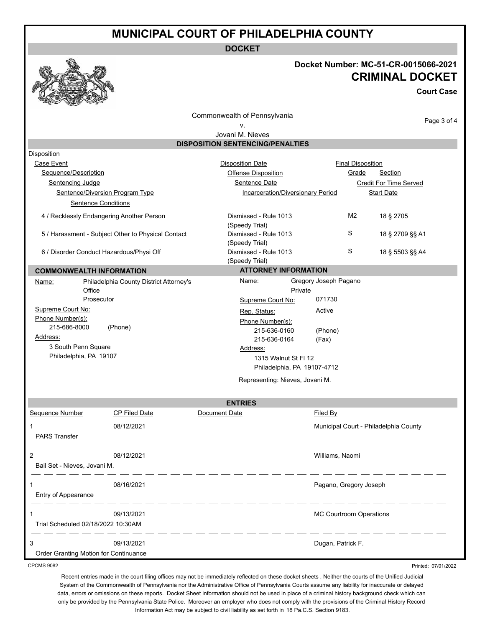**DOCKET**



### **Docket Number: MC-51-CR-0015066-2021 CRIMINAL DOCKET**

**Court Case**

Commonwealth of Pennsylvania

#### v.

Page 3 of 4

| Jovani M. Nieves                                |                                                    |                                         |                                                               |                          |                                       |  |  |
|-------------------------------------------------|----------------------------------------------------|-----------------------------------------|---------------------------------------------------------------|--------------------------|---------------------------------------|--|--|
|                                                 |                                                    | <b>DISPOSITION SENTENCING/PENALTIES</b> |                                                               |                          |                                       |  |  |
| Disposition                                     |                                                    |                                         |                                                               |                          |                                       |  |  |
| Case Event                                      |                                                    | <b>Disposition Date</b>                 |                                                               | <b>Final Disposition</b> |                                       |  |  |
| Sequence/Description                            |                                                    | <b>Offense Disposition</b>              |                                                               | <b>Grade</b>             | <b>Section</b>                        |  |  |
| Sentencing Judge                                |                                                    | Sentence Date                           |                                                               |                          | Credit For Time Served                |  |  |
| <b>Sentence/Diversion Program Type</b>          |                                                    |                                         | <b>Incarceration/Diversionary Period</b><br><b>Start Date</b> |                          |                                       |  |  |
| <b>Sentence Conditions</b>                      |                                                    |                                         |                                                               |                          |                                       |  |  |
| 4 / Recklessly Endangering Another Person       |                                                    | Dismissed - Rule 1013<br>(Speedy Trial) |                                                               | M <sub>2</sub>           | 18 § 2705                             |  |  |
|                                                 | 5 / Harassment - Subject Other to Physical Contact | Dismissed - Rule 1013<br>(Speedy Trial) |                                                               | S                        | 18 § 2709 §§ A1                       |  |  |
| 6 / Disorder Conduct Hazardous/Physi Off        |                                                    | Dismissed - Rule 1013<br>(Speedy Trial) |                                                               | S                        | 18 § 5503 §§ A4                       |  |  |
| <b>COMMONWEALTH INFORMATION</b>                 |                                                    | <b>ATTORNEY INFORMATION</b>             |                                                               |                          |                                       |  |  |
| <u>Name:</u><br>Office                          | Philadelphia County District Attorney's            | Name:<br>Private                        | Gregory Joseph Pagano                                         |                          |                                       |  |  |
| Prosecutor                                      |                                                    | Supreme Court No:                       | 071730                                                        |                          |                                       |  |  |
| Supreme Court No:                               |                                                    | Rep. Status:                            | Active                                                        |                          |                                       |  |  |
| Phone Number(s):<br>215-686-8000                | (Phone)                                            | Phone Number(s):                        |                                                               |                          |                                       |  |  |
| Address:                                        |                                                    | 215-636-0160                            | (Phone)                                                       |                          |                                       |  |  |
| 3 South Penn Square                             |                                                    | 215-636-0164                            | (Fax)                                                         |                          |                                       |  |  |
| Philadelphia, PA 19107                          |                                                    | Address:                                |                                                               |                          |                                       |  |  |
|                                                 |                                                    | 1315 Walnut St FI 12                    |                                                               |                          |                                       |  |  |
|                                                 |                                                    | Philadelphia, PA 19107-4712             |                                                               |                          |                                       |  |  |
|                                                 |                                                    | Representing: Nieves, Jovani M.         |                                                               |                          |                                       |  |  |
|                                                 |                                                    | <b>ENTRIES</b>                          |                                                               |                          |                                       |  |  |
| Sequence Number                                 | <b>CP Filed Date</b>                               | Document Date                           | Filed By                                                      |                          |                                       |  |  |
| 1<br><b>PARS Transfer</b>                       | 08/12/2021                                         |                                         |                                                               |                          | Municipal Court - Philadelphia County |  |  |
| 2<br>08/12/2021<br>Bail Set - Nieves, Jovani M. |                                                    |                                         | Williams, Naomi                                               |                          |                                       |  |  |
| 1<br>Entry of Appearance                        | 08/16/2021                                         |                                         | Pagano, Gregory Joseph                                        |                          |                                       |  |  |
| Trial Scheduled 02/18/2022 10:30AM              | 09/13/2021                                         |                                         | <b>MC Courtroom Operations</b>                                |                          |                                       |  |  |

CPCMS 9082

Order Granting Motion for Continuance

Printed: 07/01/2022

Recent entries made in the court filing offices may not be immediately reflected on these docket sheets . Neither the courts of the Unified Judicial System of the Commonwealth of Pennsylvania nor the Administrative Office of Pennsylvania Courts assume any liability for inaccurate or delayed data, errors or omissions on these reports. Docket Sheet information should not be used in place of a criminal history background check which can only be provided by the Pennsylvania State Police. Moreover an employer who does not comply with the provisions of the Criminal History Record Information Act may be subject to civil liability as set forth in 18 Pa.C.S. Section 9183.

3 09/13/2021 Dugan, Patrick F.